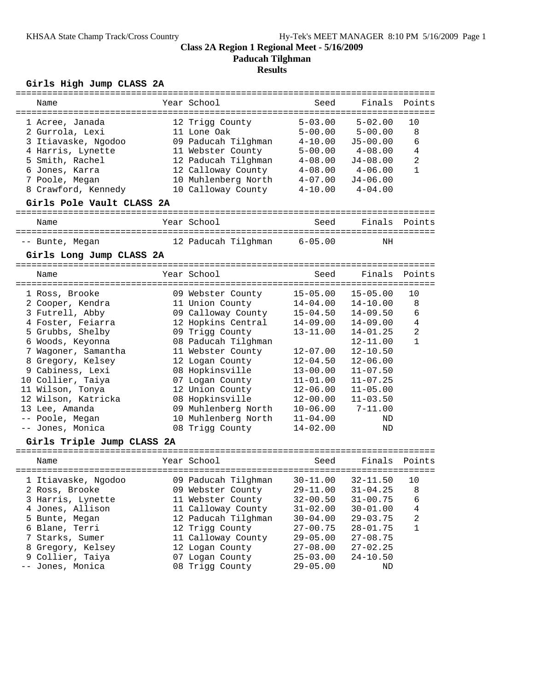**Paducah Tilghman**

### **Results**

# **Girls High Jump CLASS 2A**

| ===========                |  |                     |                           |              | =======        |  |
|----------------------------|--|---------------------|---------------------------|--------------|----------------|--|
| Name                       |  | Year School         | Seed                      | Finals       | Points         |  |
|                            |  |                     |                           |              |                |  |
| 1 Acree, Janada            |  | 12 Trigg County     | $5 - 03.00$               | $5 - 02.00$  | 10             |  |
| 2 Gurrola, Lexi            |  | 11 Lone Oak         | $5 - 00.00$               | $5 - 00.00$  | 8              |  |
| 3 Itiavaske, Ngodoo        |  | 09 Paducah Tilghman | $4 - 10.00$               | $J5 - 00.00$ | 6              |  |
| 4 Harris, Lynette          |  | 11 Webster County   | $5 - 00.00$               | $4 - 08.00$  | 4              |  |
| 5 Smith, Rachel            |  | 12 Paducah Tilghman | $4 - 08.00$               | $J4 - 08.00$ | $\overline{2}$ |  |
| 6 Jones, Karra             |  | 12 Calloway County  | $4 - 08.00$               | $4 - 06.00$  | 1              |  |
| 7 Poole, Megan             |  | 10 Muhlenberg North | $4 - 07.00$               | $J4 - 06.00$ |                |  |
| 8 Crawford, Kennedy        |  | 10 Calloway County  | $4 - 10.00$               | $4 - 04.00$  |                |  |
| Girls Pole Vault CLASS 2A  |  |                     |                           |              |                |  |
| Name                       |  | Year School         | Seed                      | Finals       | Points         |  |
|                            |  |                     |                           |              |                |  |
| -- Bunte, Megan            |  | 12 Paducah Tilghman | $6 - 05.00$               | ΝH           |                |  |
| Girls Long Jump CLASS 2A   |  |                     |                           |              |                |  |
| Name                       |  | Year School         | Seed                      | Finals       | Points         |  |
|                            |  |                     |                           | $15 - 05.00$ |                |  |
| 1 Ross, Brooke             |  | 09 Webster County   | $15 - 05.00$              |              | 10             |  |
| 2 Cooper, Kendra           |  | 11 Union County     | $14 - 04.00$              | $14 - 10.00$ | 8              |  |
| 3 Futrell, Abby            |  | 09 Calloway County  | $15 - 04.50$              | $14 - 09.50$ | 6              |  |
| 4 Foster, Feiarra          |  | 12 Hopkins Central  | $14 - 09.00$              | $14 - 09.00$ | 4              |  |
| 5 Grubbs, Shelby           |  | 09 Trigg County     | $13 - 11.00$              | $14 - 01.25$ | $\overline{2}$ |  |
| 6 Woods, Keyonna           |  | 08 Paducah Tilghman |                           | $12 - 11.00$ | $\mathbf{1}$   |  |
| 7 Wagoner, Samantha        |  | 11 Webster County   | $12 - 07.00$              | $12 - 10.50$ |                |  |
| 8 Gregory, Kelsey          |  | 12 Logan County     | $12 - 04.50$              | $12 - 06.00$ |                |  |
| 9 Cabiness, Lexi           |  | 08 Hopkinsville     | $13 - 00.00$              | $11 - 07.50$ |                |  |
| 10 Collier, Taiya          |  | 07 Logan County     | $11 - 01.00$              | $11 - 07.25$ |                |  |
| 11 Wilson, Tonya           |  | 12 Union County     | $12 - 06.00$              | $11 - 05.00$ |                |  |
| 12 Wilson, Katricka        |  | 08 Hopkinsville     | $12 - 00.00$              | $11 - 03.50$ |                |  |
| 13 Lee, Amanda             |  | 09 Muhlenberg North | $10 - 06.00$              | $7 - 11.00$  |                |  |
| -- Poole, Megan            |  | 10 Muhlenberg North | $11 - 04.00$              | ND           |                |  |
| -- Jones, Monica           |  | 08 Trigg County     | $14 - 02.00$              | ND           |                |  |
| Girls Triple Jump CLASS 2A |  |                     |                           |              |                |  |
| Name                       |  | Year School         | Seed                      | Finals       | Points         |  |
|                            |  | 09 Paducah Tilghman | $30 - 11.00$ $32 - 11.50$ |              | 10             |  |
| 1 Itiavaske, Ngodoo        |  |                     |                           |              |                |  |
| 2 Ross, Brooke             |  | 09 Webster County   | 29-11.00                  | $31 - 04.25$ | 8              |  |
| 3 Harris, Lynette          |  | 11 Webster County   | $32 - 00.50$              | $31 - 00.75$ | 6              |  |
| 4 Jones, Allison           |  | 11 Calloway County  | $31 - 02.00$              | $30 - 01.00$ | 4              |  |
| 5 Bunte, Megan             |  | 12 Paducah Tilghman | $30 - 04.00$              | $29 - 03.75$ | $\overline{c}$ |  |
| 6 Blane, Terri             |  | 12 Trigg County     | $27 - 00.75$              | $28 - 01.75$ | 1              |  |
| 7 Starks, Sumer            |  | 11 Calloway County  | $29 - 05.00$              | $27 - 08.75$ |                |  |
| 8 Gregory, Kelsey          |  | 12 Logan County     | $27 - 08.00$              | $27 - 02.25$ |                |  |
| 9 Collier, Taiya           |  | 07 Logan County     | $25 - 03.00$              | $24 - 10.50$ |                |  |
| -- Jones, Monica           |  | 08 Trigg County     | $29 - 05.00$              | ΝD           |                |  |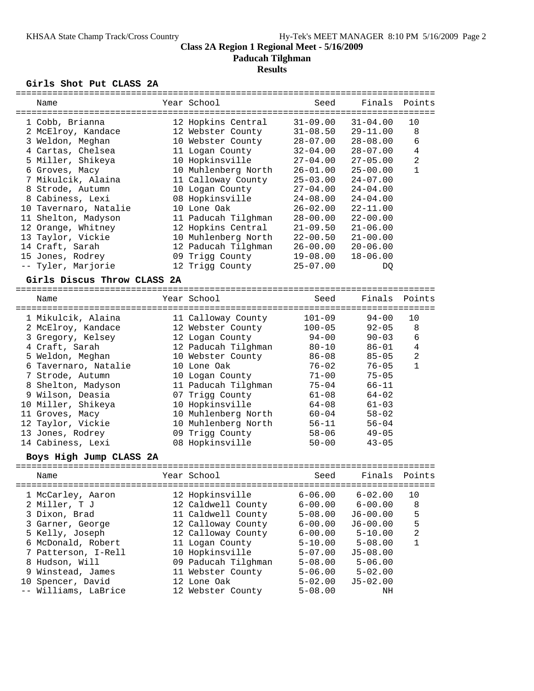**Paducah Tilghman**

# **Results**

#### **Girls Shot Put CLASS 2A**

|                         | Name                                   |  | Year School                         | Seed         | Finals       | Points         |
|-------------------------|----------------------------------------|--|-------------------------------------|--------------|--------------|----------------|
|                         | -------------------------------------- |  | =================================== |              |              |                |
|                         | 1 Cobb, Brianna                        |  | 12 Hopkins Central                  | $31 - 09.00$ | $31 - 04.00$ | 10             |
|                         | 2 McElroy, Kandace                     |  | 12 Webster County                   | $31 - 08.50$ | $29 - 11.00$ | 8              |
|                         | 3 Weldon, Meghan                       |  | 10 Webster County                   | $28 - 07.00$ | $28 - 08.00$ | 6              |
|                         | 4 Cartas, Chelsea                      |  | 11 Logan County                     | $32 - 04.00$ | $28 - 07.00$ | 4              |
|                         | 5 Miller, Shikeya                      |  | 10 Hopkinsville                     | $27 - 04.00$ | 27-05.00     | 2              |
|                         | 6 Groves, Macy                         |  | 10 Muhlenberg North                 | 26-01.00     | $25 - 00.00$ | $\mathbf{1}$   |
|                         | 7 Mikulcik, Alaina                     |  | 11 Calloway County                  | $25 - 03.00$ | $24 - 07.00$ |                |
|                         | 8 Strode, Autumn                       |  | 10 Logan County                     | $27 - 04.00$ | 24-04.00     |                |
|                         | 8 Cabiness, Lexi                       |  | 08 Hopkinsville                     | $24 - 08.00$ | $24 - 04.00$ |                |
|                         | 10 Tavernaro, Natalie                  |  | 10 Lone Oak                         | $26 - 02.00$ | $22 - 11.00$ |                |
|                         | 11 Shelton, Madyson                    |  | 11 Paducah Tilghman                 | $28 - 00.00$ | $22 - 00.00$ |                |
|                         | 12 Orange, Whitney                     |  | 12 Hopkins Central                  | $21 - 09.50$ | 21-06.00     |                |
|                         | 13 Taylor, Vickie                      |  | 10 Muhlenberg North                 | $22 - 00.50$ | $21 - 00.00$ |                |
|                         | 14 Craft, Sarah                        |  | 12 Paducah Tilghman                 | $26 - 00.00$ | $20 - 06.00$ |                |
|                         | 15 Jones, Rodrey                       |  | 09 Trigg County                     | $19 - 08.00$ | $18 - 06.00$ |                |
|                         | -- Tyler, Marjorie                     |  | 12 Trigg County                     | $25 - 07.00$ | DQ           |                |
|                         | Girls Discus Throw CLASS 2A            |  |                                     |              |              |                |
|                         |                                        |  |                                     |              |              |                |
|                         | Name                                   |  | Year School                         | Seed         | Finals       | Points         |
|                         | 1 Mikulcik, Alaina                     |  | 11 Calloway County                  | $101 - 09$   | $94 - 00$    | 10             |
|                         | 2 McElroy, Kandace                     |  | 12 Webster County                   | $100 - 05$   | $92 - 05$    | 8              |
|                         | 3 Gregory, Kelsey                      |  | 12 Logan County                     | $94 - 00$    | $90 - 03$    | 6              |
|                         | 4 Craft, Sarah                         |  | 12 Paducah Tilghman                 | $80 - 10$    | $86 - 01$    | $\overline{4}$ |
|                         | 5 Weldon, Meghan                       |  | 10 Webster County                   | $86 - 08$    | $85 - 05$    | 2              |
|                         |                                        |  |                                     |              |              | $\mathbf{1}$   |
|                         | 6 Tavernaro, Natalie                   |  | 10 Lone Oak                         | $76 - 02$    | $76 - 05$    |                |
|                         | 7 Strode, Autumn                       |  | 10 Logan County                     | $71 - 00$    | $75 - 05$    |                |
|                         | 8 Shelton, Madyson                     |  | 11 Paducah Tilghman                 | $75 - 04$    | $66 - 11$    |                |
|                         | 9 Wilson, Deasia                       |  | 07 Trigg County                     | $61 - 08$    | $64 - 02$    |                |
|                         | 10 Miller, Shikeya                     |  | 10 Hopkinsville                     | $64 - 08$    | $61 - 03$    |                |
|                         | 11 Groves, Macy                        |  | 10 Muhlenberg North                 | $60 - 04$    | $58 - 02$    |                |
|                         | 12 Taylor, Vickie                      |  | 10 Muhlenberg North                 | 56-11        | $56 - 04$    |                |
|                         | 13 Jones, Rodrey                       |  | 09 Trigg County                     | $58 - 06$    | $49 - 05$    |                |
|                         | 14 Cabiness, Lexi                      |  | 08 Hopkinsville                     | $50 - 00$    | $43 - 05$    |                |
| Boys High Jump CLASS 2A |                                        |  |                                     |              |              |                |
|                         | Name                                   |  | Year School                         | Seed         | Finals       | Points         |
|                         | 1 McCarley, Aaron                      |  | 12 Hopkinsville                     | $6 - 06.00$  | $6 - 02.00$  | 10             |
|                         | 2 Miller, T J                          |  | 12 Caldwell County                  | $6 - 00.00$  | $6 - 00.00$  | 8              |
|                         | 3 Dixon, Brad                          |  | 11 Caldwell County                  | $5 - 08.00$  | $J6 - 00.00$ | 5              |
|                         | 3 Garner, George                       |  | 12 Calloway County                  | $6 - 00.00$  | $J6 - 00.00$ | 5              |
|                         | 5 Kelly, Joseph                        |  | 12 Calloway County                  | $6 - 00.00$  | $5 - 10.00$  | 2              |
|                         | 6 McDonald, Robert                     |  | 11 Logan County                     | $5 - 10.00$  | $5 - 08.00$  | $\mathbf{1}$   |
|                         | 7 Patterson, I-Rell                    |  | 10 Hopkinsville                     | $5 - 07.00$  | $J5 - 08.00$ |                |
|                         | 8 Hudson, Will                         |  | 09 Paducah Tilghman                 | $5 - 08.00$  | $5 - 06.00$  |                |
|                         |                                        |  | 11 Webster County                   |              |              |                |
|                         | 9 Winstead, James                      |  |                                     | $5 - 06.00$  | $5 - 02.00$  |                |
|                         | 10 Spencer, David                      |  | 12 Lone Oak                         | $5 - 02.00$  | $J5 - 02.00$ |                |
|                         | Williams, LaBrice                      |  | 12 Webster County                   | $5 - 08.00$  | ΝH           |                |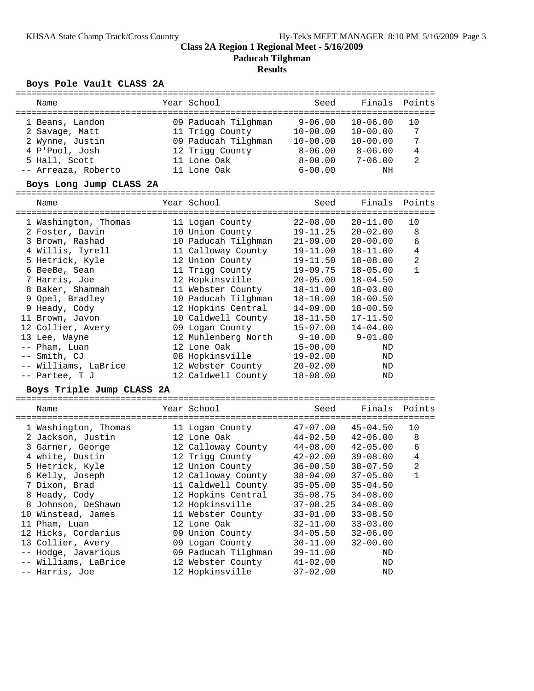### **Class 2A Region 1 Regional Meet - 5/16/2009 Paducah Tilghman Results**

# **Boys Pole Vault CLASS 2A**

|       | -----------               |                     | ================================== |              |                |
|-------|---------------------------|---------------------|------------------------------------|--------------|----------------|
|       | Name                      | Year School         | Seed                               | Finals       | Points         |
|       |                           |                     | $9 - 06.00$                        | $10 - 06.00$ | 10             |
|       | 1 Beans, Landon           | 09 Paducah Tilghman | $10 - 00.00$                       | $10 - 00.00$ | 7              |
|       | 2 Savage, Matt            | 11 Trigg County     |                                    |              | 7              |
|       | 2 Wynne, Justin           | 09 Paducah Tilghman | $10 - 00.00$                       | $10 - 00.00$ |                |
|       | 4 P'Pool, Josh            | 12 Trigg County     | 8-06.00                            | $8 - 06.00$  | $\overline{4}$ |
|       | 5 Hall, Scott             | 11 Lone Oak         | $8 - 00.00$                        | $7 - 06.00$  | 2              |
|       | -- Arreaza, Roberto       | 11 Lone Oak         | $6 - 00.00$                        | NH           |                |
|       | Boys Long Jump CLASS 2A   |                     |                                    |              |                |
|       | Name                      | Year School         | Seed                               | Finals       | Points         |
|       |                           |                     |                                    |              |                |
|       | 1 Washington, Thomas      | 11 Logan County     | $22 - 08.00$                       | $20 - 11.00$ | 10             |
|       | 2 Foster, Davin           | 10 Union County     | $19 - 11.25$                       | $20 - 02.00$ | 8              |
|       | 3 Brown, Rashad           | 10 Paducah Tilghman | $21 - 09.00$                       | $20 - 00.00$ | 6              |
|       | 4 Willis, Tyrell          | 11 Calloway County  | $19 - 11.00$                       | $18 - 11.00$ | $\overline{4}$ |
|       | 5 Hetrick, Kyle           | 12 Union County     | $19 - 11.50$                       | $18 - 08.00$ | $\overline{2}$ |
|       | 6 BeeBe, Sean             | 11 Trigg County     | $19 - 09.75$                       | $18 - 05.00$ | $\mathbf{1}$   |
|       | 7 Harris, Joe             | 12 Hopkinsville     | $20 - 05.00$                       | $18 - 04.50$ |                |
|       | 8 Baker, Shammah          | 11 Webster County   | $18 - 11.00$                       | $18 - 03.00$ |                |
|       | 9 Opel, Bradley           | 10 Paducah Tilghman | $18 - 10.00$                       | $18 - 00.50$ |                |
|       | 9 Heady, Cody             | 12 Hopkins Central  | $14 - 09.00$                       | $18 - 00.50$ |                |
|       | 11 Brown, Javon           | 10 Caldwell County  | $18 - 11.50$                       | $17 - 11.50$ |                |
|       | 12 Collier, Avery         | 09 Logan County     | $15 - 07.00$                       | $14 - 04.00$ |                |
|       | 13 Lee, Wayne             | 12 Muhlenberg North | $9 - 10.00$                        | $9 - 01.00$  |                |
|       | -- Pham, Luan             | 12 Lone Oak         | $15 - 00.00$                       | ND           |                |
|       | -- Smith, CJ              | 08 Hopkinsville     | $19 - 02.00$                       | $\rm ND$     |                |
|       | -- Williams, LaBrice      | 12 Webster County   | $20 - 02.00$                       | ND           |                |
|       | -- Partee, T J            | 12 Caldwell County  | $18 - 08.00$                       | ND           |                |
|       | Boys Triple Jump CLASS 2A |                     |                                    |              |                |
|       | Name                      | Year School         | Seed                               | Finals       | Points         |
|       |                           |                     |                                    |              |                |
|       | 1 Washington, Thomas      | 11 Logan County     | $47 - 07.00$                       | $45 - 04.50$ | 10             |
|       | 2 Jackson, Justin         | 12 Lone Oak         | $44 - 02.50$                       | $42 - 06.00$ | 8              |
|       | 3 Garner, George          | 12 Calloway County  | $44 - 08.00$                       | $42 - 05.00$ | 6              |
|       | 4 white, Dustin           | 12 Trigg County     | $42 - 02.00$                       | $39 - 08.00$ | $\overline{4}$ |
|       | 5 Hetrick, Kyle           | 12 Union County     | $36 - 00.50$                       | $38 - 07.50$ | $\overline{a}$ |
|       | 6 Kelly, Joseph           | 12 Calloway County  | $38 - 04.00$                       | $37 - 05.00$ | $\mathbf{1}$   |
|       | 7 Dixon, Brad             | 11 Caldwell County  | $35 - 05.00$                       | $35 - 04.50$ |                |
|       | 8 Heady, Cody             | 12 Hopkins Central  | $35 - 08.75$                       | $34 - 08.00$ |                |
|       | 8 Johnson, DeShawn        | 12 Hopkinsville     | $37 - 08.25$                       | $34 - 08.00$ |                |
|       | 10 Winstead, James        | 11 Webster County   | $33 - 01.00$                       | $33 - 08.50$ |                |
|       | 11 Pham, Luan             | 12 Lone Oak         | $32 - 11.00$                       | $33 - 03.00$ |                |
|       | 12 Hicks, Cordarius       | 09 Union County     | $34 - 05.50$                       | $32 - 06.00$ |                |
|       | 13 Collier, Avery         | 09 Logan County     | $30 - 11.00$                       | $32 - 00.00$ |                |
| $- -$ | Hodge, Javarious          | 09 Paducah Tilghman | $39 - 11.00$                       | ΝD           |                |
|       | Williams, LaBrice         | 12 Webster County   | $41 - 02.00$                       | ND           |                |
|       | -- Harris, Joe            | 12 Hopkinsville     | $37 - 02.00$                       | ΝD           |                |
|       |                           |                     |                                    |              |                |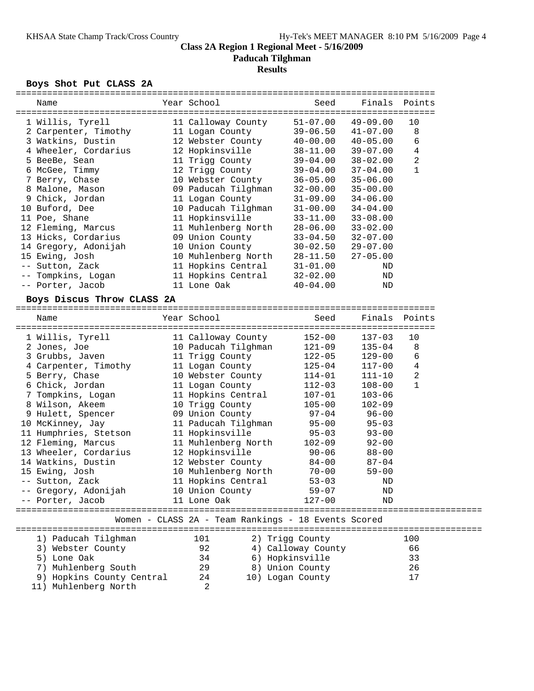**Paducah Tilghman**

### **Results**

### **Boys Shot Put CLASS 2A**

|  | Name                       |  | Year School                                         | Seed               | Finals       | Points       |  |
|--|----------------------------|--|-----------------------------------------------------|--------------------|--------------|--------------|--|
|  |                            |  |                                                     |                    |              |              |  |
|  | 1 Willis, Tyrell           |  | 11 Calloway County                                  | $51 - 07.00$       | $49 - 09.00$ | 10           |  |
|  | 2 Carpenter, Timothy       |  | 11 Logan County                                     | $39 - 06.50$       | $41 - 07.00$ | 8            |  |
|  | 3 Watkins, Dustin          |  | 12 Webster County                                   | 40-00.00           | $40 - 05.00$ | 6            |  |
|  | 4 Wheeler, Cordarius       |  | 12 Hopkinsville                                     | $38 - 11.00$       | $39 - 07.00$ | 4            |  |
|  | 5 BeeBe, Sean              |  | 11 Trigg County                                     | $39 - 04.00$       | $38 - 02.00$ | 2            |  |
|  | 6 McGee, Timmy             |  | 12 Trigg County                                     | $39 - 04.00$       | $37 - 04.00$ | $\mathbf{1}$ |  |
|  | 7 Berry, Chase             |  | 10 Webster County                                   | $36 - 05.00$       | $35 - 06.00$ |              |  |
|  | 8 Malone, Mason            |  | 09 Paducah Tilghman                                 | $32 - 00.00$       | $35 - 00.00$ |              |  |
|  | 9 Chick, Jordan            |  | 11 Logan County                                     | $31 - 09.00$       | $34 - 06.00$ |              |  |
|  | 10 Buford, Dee             |  | 10 Paducah Tilghman                                 | $31 - 00.00$       | $34 - 04.00$ |              |  |
|  | 11 Poe, Shane              |  | 11 Hopkinsville                                     | $33 - 11.00$       | $33 - 08.00$ |              |  |
|  | 12 Fleming, Marcus         |  | 11 Muhlenberg North                                 | 28-06.00           | $33 - 02.00$ |              |  |
|  | 13 Hicks, Cordarius        |  | 09 Union County                                     | $33 - 04.50$       | $32 - 07.00$ |              |  |
|  | 14 Gregory, Adonijah       |  | 10 Union County                                     | $30 - 02.50$       | $29 - 07.00$ |              |  |
|  | 15 Ewing, Josh             |  | 10 Muhlenberg North                                 | $28 - 11.50$       | $27 - 05.00$ |              |  |
|  | -- Sutton, Zack            |  | 11 Hopkins Central                                  | $31 - 01.00$       | ND           |              |  |
|  | -- Tompkins, Logan         |  | 11 Hopkins Central                                  | $32 - 02.00$       | ND           |              |  |
|  | -- Porter, Jacob           |  | 11 Lone Oak                                         | $40 - 04.00$       | ND           |              |  |
|  |                            |  |                                                     |                    |              |              |  |
|  | Boys Discus Throw CLASS 2A |  |                                                     |                    |              |              |  |
|  |                            |  |                                                     |                    |              |              |  |
|  | Name                       |  | Year School                                         | Seed               | Finals       | Points       |  |
|  |                            |  |                                                     |                    |              |              |  |
|  | 1 Willis, Tyrell           |  | 11 Calloway County                                  | $152 - 00$         | $137 - 03$   | 10           |  |
|  | 2 Jones, Joe               |  | 10 Paducah Tilghman                                 | 121-09             | $135 - 04$   | 8            |  |
|  | 3 Grubbs, Javen            |  | 11 Trigg County                                     | 122-05             | $129 - 00$   | 6            |  |
|  | 4 Carpenter, Timothy       |  | 11 Logan County                                     | $125 - 04$         | $117 - 00$   | 4            |  |
|  | 5 Berry, Chase             |  | 10 Webster County                                   | 114-01             | $111 - 10$   | 2            |  |
|  | 6 Chick, Jordan            |  | 11 Logan County                                     | 112-03             | $108 - 00$   | $\mathbf{1}$ |  |
|  | 7 Tompkins, Logan          |  | 11 Hopkins Central                                  | 107-01             | $103 - 06$   |              |  |
|  | 8 Wilson, Akeem            |  | 10 Trigg County                                     | $105 - 00$         | $102 - 09$   |              |  |
|  | 9 Hulett, Spencer          |  | 09 Union County                                     | 97-04              | $96 - 00$    |              |  |
|  | 10 McKinney, Jay           |  | 11 Paducah Tilghman                                 | $95 - 00$          | $95 - 03$    |              |  |
|  | 11 Humphries, Stetson      |  | 11 Hopkinsville                                     | $95 - 03$          | $93 - 00$    |              |  |
|  | 12 Fleming, Marcus         |  | 11 Muhlenberg North                                 | 102-09             | $92 - 00$    |              |  |
|  | 13 Wheeler, Cordarius      |  | 12 Hopkinsville                                     | 90-06              | $88 - 00$    |              |  |
|  | 14 Watkins, Dustin         |  | 12 Webster County                                   | $84 - 00$          | $87 - 04$    |              |  |
|  | 15 Ewing, Josh             |  | 10 Muhlenberg North                                 | $70 - 00$          | $59 - 00$    |              |  |
|  | -- Sutton, Zack            |  | 11 Hopkins Central                                  | $53 - 03$          | ND           |              |  |
|  | -- Gregory, Adonijah       |  | 10 Union County                                     | $59 - 07$          | ΝD           |              |  |
|  | -- Porter, Jacob           |  | 11 Lone Oak                                         | $127 - 00$         | <b>ND</b>    |              |  |
|  |                            |  |                                                     |                    |              |              |  |
|  |                            |  | Women - CLASS 2A - Team Rankings - 18 Events Scored |                    |              |              |  |
|  |                            |  |                                                     |                    |              |              |  |
|  | 1) Paducah Tilghman        |  | 101                                                 | 2) Trigg County    |              | 100          |  |
|  | 3) Webster County          |  | 92                                                  | 4) Calloway County |              | 66           |  |
|  | 5) Lone Oak                |  | 34                                                  | 6) Hopkinsville    |              | 33           |  |
|  | Muhlenberg South<br>7)     |  | 29                                                  | 8) Union County    |              | 26           |  |
|  | 9) Hopkins County Central  |  | 24                                                  | 10) Logan County   |              | 17           |  |
|  | 11) Muhlenberg North       |  | 2                                                   |                    |              |              |  |